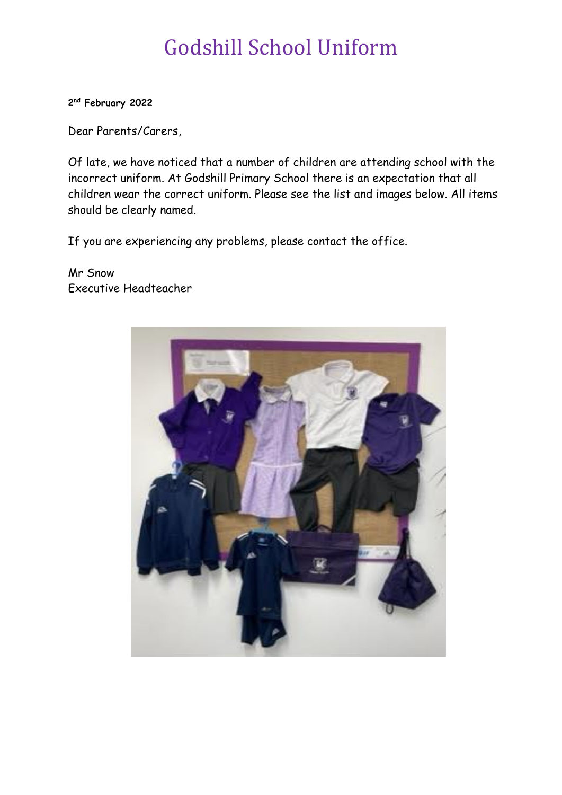# Godshill School Uniform

**2 nd February 2022**

Dear Parents/Carers,

Of late, we have noticed that a number of children are attending school with the incorrect uniform. At Godshill Primary School there is an expectation that all children wear the correct uniform. Please see the list and images below. All items should be clearly named.

If you are experiencing any problems, please contact the office.

## Mr Snow Executive Headteacher